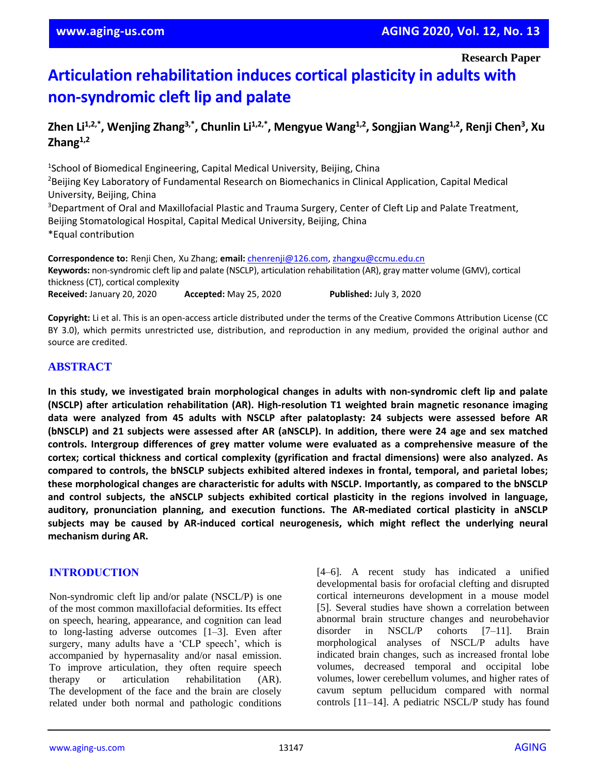**Research Paper**

# **Articulation rehabilitation induces cortical plasticity in adults with non-syndromic cleft lip and palate**

# **Zhen Li1,2,\*, Wenjing Zhang3,\*, Chunlin Li1,2,\* , Mengyue Wang1,2 , Songjian Wang1,2, Renji Chen<sup>3</sup> , Xu Zhang1,2**

<sup>1</sup>School of Biomedical Engineering, Capital Medical University, Beijing, China <sup>2</sup>Beijing Key Laboratory of Fundamental Research on Biomechanics in Clinical Application, Capital Medical University, Beijing, China <sup>3</sup>Department of Oral and Maxillofacial Plastic and Trauma Surgery, Center of Cleft Lip and Palate Treatment, Beijing Stomatological Hospital, Capital Medical University, Beijing, China \*Equal contribution

**Correspondence to:** Renji Chen, Xu Zhang; **email:** [chenrenji@126.com, zhangxu@ccmu.edu.cn](about:blank) **Keywords:** non-syndromic cleft lip and palate (NSCLP), articulation rehabilitation (AR), gray matter volume (GMV), cortical thickness (CT), cortical complexity **Received:** January 20, 2020 **Accepted:** May 25, 2020 **Published:** July 3, 2020

**Copyright:** Li et al. This is an open-access article distributed under the terms of the Creative Commons Attribution License (CC BY 3.0), which permits unrestricted use, distribution, and reproduction in any medium, provided the original author and source are credited.

## **ABSTRACT**

**In this study, we investigated brain morphological changes in adults with non-syndromic cleft lip and palate (NSCLP) after articulation rehabilitation (AR). High-resolution T1 weighted brain magnetic resonance imaging data were analyzed from 45 adults with NSCLP after palatoplasty: 24 subjects were assessed before AR** (bNSCLP) and 21 subjects were assessed after AR (aNSCLP). In addition, there were 24 age and sex matched **controls. Intergroup differences of grey matter volume were evaluated as a comprehensive measure of the cortex; cortical thickness and cortical complexity (gyrification and fractal dimensions) were also analyzed. As compared to controls, the bNSCLP subjects exhibited altered indexes in frontal, temporal, and parietal lobes; these morphological changes are characteristic for adults with NSCLP. Importantly, as compared to the bNSCLP and control subjects, the aNSCLP subjects exhibited cortical plasticity in the regions involved in language, auditory, pronunciation planning, and execution functions. The AR-mediated cortical plasticity in aNSCLP subjects may be caused by AR-induced cortical neurogenesis, which might reflect the underlying neural mechanism during AR.**

## **INTRODUCTION**

Non-syndromic cleft lip and/or palate (NSCL/P) is one of the most common maxillofacial deformities. Its effect on speech, hearing, appearance, and cognition can lead to long-lasting adverse outcomes [1–3]. Even after surgery, many adults have a 'CLP speech', which is accompanied by hypernasality and/or nasal emission. To improve articulation, they often require speech therapy or articulation rehabilitation (AR). The development of the face and the brain are closely related under both normal and pathologic conditions [4–6]. A recent study has indicated a unified developmental basis for orofacial clefting and disrupted cortical interneurons development in a mouse model [5]. Several studies have shown a correlation between abnormal brain structure changes and neurobehavior disorder in NSCL/P cohorts [7–11]. Brain morphological analyses of NSCL/P adults have indicated brain changes, such as increased frontal lobe volumes, decreased temporal and occipital lobe volumes, lower cerebellum volumes, and higher rates of cavum septum pellucidum compared with normal controls [11–14]. A pediatric NSCL/P study has found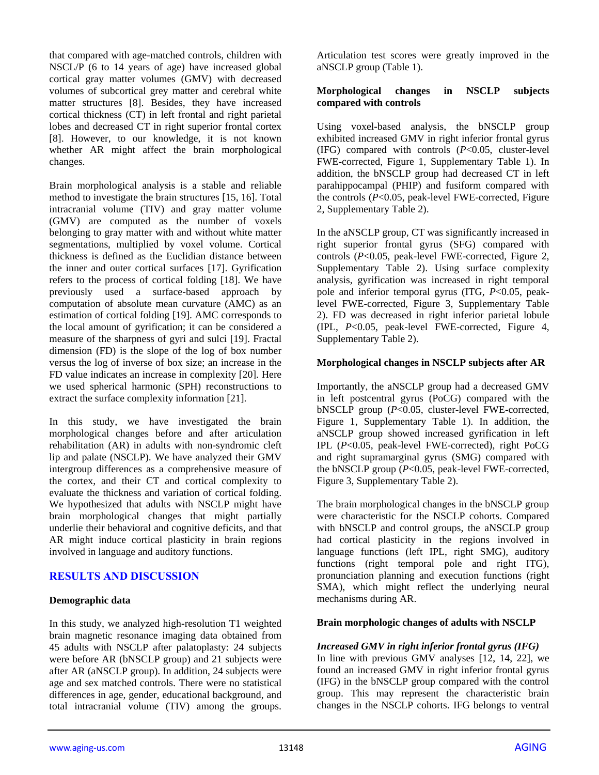that compared with age-matched controls, children with NSCL/P (6 to 14 years of age) have increased global cortical gray matter volumes (GMV) with decreased volumes of subcortical grey matter and cerebral white matter structures [8]. Besides, they have increased cortical thickness (CT) in left frontal and right parietal lobes and decreased CT in right superior frontal cortex [8]. However, to our knowledge, it is not known whether AR might affect the brain morphological changes.

Brain morphological analysis is a stable and reliable method to investigate the brain structures [15, 16]. Total intracranial volume (TIV) and gray matter volume (GMV) are computed as the number of voxels belonging to gray matter with and without white matter segmentations, multiplied by voxel volume. Cortical thickness is defined as the Euclidian distance between the inner and outer cortical surfaces [17]. Gyrification refers to the process of cortical folding [18]. We have previously used a surface-based approach by computation of absolute mean curvature (AMC) as an estimation of cortical folding [19]. AMC corresponds to the local amount of gyrification; it can be considered a measure of the sharpness of gyri and sulci [19]. Fractal dimension (FD) is the slope of the log of box number versus the log of inverse of box size; an increase in the FD value indicates an increase in complexity [20]. Here we used spherical harmonic (SPH) reconstructions to extract the surface complexity information [21].

In this study, we have investigated the brain morphological changes before and after articulation rehabilitation (AR) in adults with non-syndromic cleft lip and palate (NSCLP). We have analyzed their GMV intergroup differences as a comprehensive measure of the cortex, and their CT and cortical complexity to evaluate the thickness and variation of cortical folding. We hypothesized that adults with NSCLP might have brain morphological changes that might partially underlie their behavioral and cognitive deficits, and that AR might induce cortical plasticity in brain regions involved in language and auditory functions.

## **RESULTS AND DISCUSSION**

## **Demographic data**

In this study, we analyzed high-resolution T1 weighted brain magnetic resonance imaging data obtained from 45 adults with NSCLP after palatoplasty: 24 subjects were before AR (bNSCLP group) and 21 subjects were after AR (aNSCLP group). In addition, 24 subjects were age and sex matched controls. There were no statistical differences in age, gender, educational background, and total intracranial volume (TIV) among the groups. Articulation test scores were greatly improved in the aNSCLP group (Table 1).

#### **Morphological changes in NSCLP subjects compared with controls**

Using voxel-based analysis, the bNSCLP group exhibited increased GMV in right inferior frontal gyrus (IFG) compared with controls (*P*<0.05, cluster-level FWE-corrected, Figure 1, Supplementary Table 1). In addition, the bNSCLP group had decreased CT in left parahippocampal (PHIP) and fusiform compared with the controls (*P*<0.05, peak-level FWE-corrected, Figure 2, Supplementary Table 2).

In the aNSCLP group, CT was significantly increased in right superior frontal gyrus (SFG) compared with controls (*P*<0.05, peak-level FWE-corrected, Figure 2, Supplementary Table 2). Using surface complexity analysis, gyrification was increased in right temporal pole and inferior temporal gyrus (ITG, *P*<0.05, peaklevel FWE-corrected, Figure 3, Supplementary Table 2). FD was decreased in right inferior parietal lobule (IPL, *P*<0.05, peak-level FWE-corrected, Figure 4, Supplementary Table 2).

#### **Morphological changes in NSCLP subjects after AR**

Importantly, the aNSCLP group had a decreased GMV in left postcentral gyrus (PoCG) compared with the bNSCLP group (*P*<0.05, cluster-level FWE-corrected, Figure 1, Supplementary Table 1). In addition, the aNSCLP group showed increased gyrification in left IPL (*P*<0.05, peak-level FWE-corrected), right PoCG and right supramarginal gyrus (SMG) compared with the bNSCLP group (*P*<0.05, peak-level FWE-corrected, Figure 3, Supplementary Table 2).

The brain morphological changes in the bNSCLP group were characteristic for the NSCLP cohorts. Compared with bNSCLP and control groups, the aNSCLP group had cortical plasticity in the regions involved in language functions (left IPL, right SMG), auditory functions (right temporal pole and right ITG), pronunciation planning and execution functions (right SMA), which might reflect the underlying neural mechanisms during AR.

#### **Brain morphologic changes of adults with NSCLP**

#### *Increased GMV in right inferior frontal gyrus (IFG)*

In line with previous GMV analyses [12, 14, 22], we found an increased GMV in right inferior frontal gyrus (IFG) in the bNSCLP group compared with the control group. This may represent the characteristic brain changes in the NSCLP cohorts. IFG belongs to ventral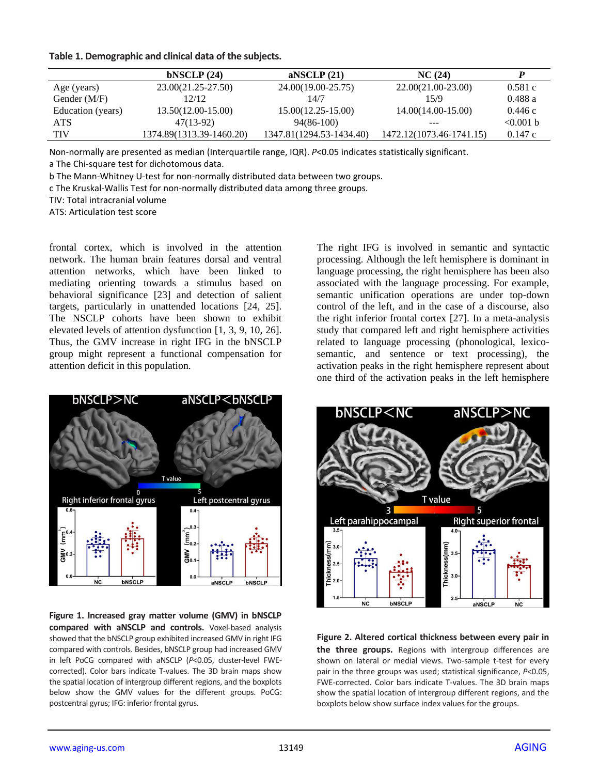|                   | bNSCLP(24)               | anscle $(21)$            | NC(24)                   |             |
|-------------------|--------------------------|--------------------------|--------------------------|-------------|
| Age (years)       | 23.00(21.25-27.50)       | 24.00(19.00-25.75)       | 22.00(21.00-23.00)       | 0.581c      |
| Gender $(M/F)$    | 12/12                    | 14/7                     | 15/9                     | 0.488a      |
| Education (years) | $13.50(12.00-15.00)$     | $15.00(12.25-15.00)$     | $14.00(14.00-15.00)$     | 0.446c      |
| ATS.              | 47(13-92)                | 94(86-100)               | ---                      | $< 0.001$ b |
| <b>TIV</b>        | 1374.89(1313.39-1460.20) | 1347.81(1294.53-1434.40) | 1472.12(1073.46-1741.15) | 0.147c      |

Non-normally are presented as median (Interquartile range, IQR). *P*<0.05 indicates statistically significant.

a The Chi-square test for dichotomous data.

b The Mann-Whitney U-test for non-normally distributed data between two groups.

c The Kruskal-Wallis Test for non-normally distributed data among three groups.

TIV: Total intracranial volume

ATS: Articulation test score

frontal cortex, which is involved in the attention network. The human brain features dorsal and ventral attention networks, which have been linked to mediating orienting towards a stimulus based on behavioral significance [23] and detection of salient targets, particularly in unattended locations [24, 25]. The NSCLP cohorts have been shown to exhibit elevated levels of attention dysfunction [1, 3, 9, 10, 26]. Thus, the GMV increase in right IFG in the bNSCLP group might represent a functional compensation for attention deficit in this population.



**Figure 1. Increased gray matter volume (GMV) in bNSCLP compared with aNSCLP and controls.** Voxel-based analysis showed that the bNSCLP group exhibited increased GMV in right IFG compared with controls. Besides, bNSCLP group had increased GMV in left PoCG compared with aNSCLP (*P*<0.05, cluster-level FWEcorrected). Color bars indicate T-values. The 3D brain maps show the spatial location of intergroup different regions, and the boxplots below show the GMV values for the different groups. PoCG: postcentral gyrus; IFG: inferior frontal gyrus.

The right IFG is involved in semantic and syntactic processing. Although the left hemisphere is dominant in language processing, the right hemisphere has been also associated with the language processing. For example, semantic unification operations are under top-down control of the left, and in the case of a discourse, also the right inferior frontal cortex [27]. In a meta-analysis study that compared left and right hemisphere activities related to language processing (phonological, lexicosemantic, and sentence or text processing), the activation peaks in the right hemisphere represent about one third of the activation peaks in the left hemisphere



**Figure 2. Altered cortical thickness between every pair in the three groups.** Regions with intergroup differences are shown on lateral or medial views. Two-sample t-test for every pair in the three groups was used; statistical significance, *P*<0.05, FWE-corrected. Color bars indicate T-values. The 3D brain maps show the spatial location of intergroup different regions, and the boxplots below show surface index values for the groups.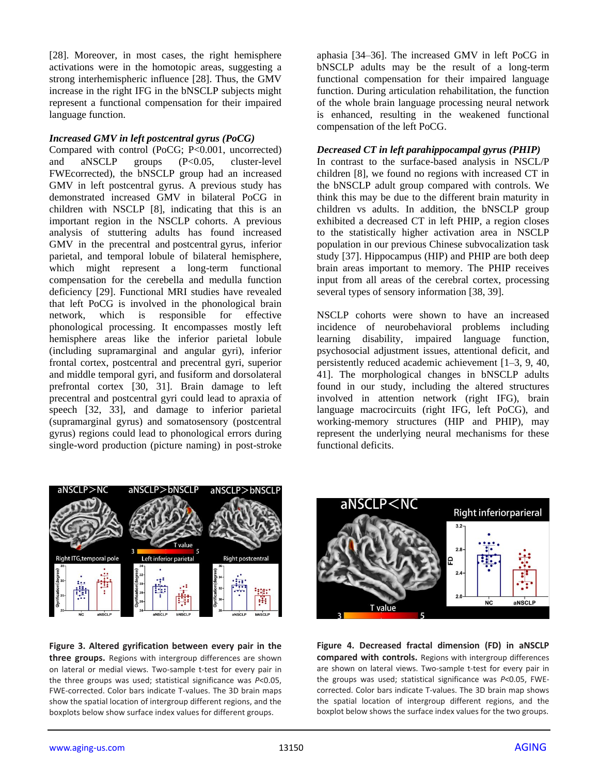[28]. Moreover, in most cases, the right hemisphere activations were in the homotopic areas, suggesting a strong interhemispheric influence [28]. Thus, the GMV increase in the right IFG in the bNSCLP subjects might represent a functional compensation for their impaired language function.

#### *Increased GMV in left postcentral gyrus (PoCG)*

Compared with control (PoCG; P<0.001, uncorrected) and aNSCLP groups (P<0.05, cluster-level FWEcorrected), the bNSCLP group had an increased GMV in left postcentral gyrus. A previous study has demonstrated increased GMV in bilateral PoCG in children with NSCLP [8], indicating that this is an important region in the NSCLP cohorts. A previous analysis of stuttering adults has found increased GMV in the precentral and postcentral gyrus, inferior parietal, and temporal lobule of bilateral hemisphere, which might represent a long-term functional compensation for the cerebella and medulla function deficiency [29]. Functional MRI studies have revealed that left PoCG is involved in the phonological brain network, which is responsible for effective phonological processing. It encompasses mostly left hemisphere areas like the inferior parietal lobule (including supramarginal and angular gyri), inferior frontal cortex, postcentral and precentral gyri, superior and middle temporal gyri, and fusiform and dorsolateral prefrontal cortex [30, 31]. Brain damage to left precentral and postcentral gyri could lead to apraxia of speech [32, 33], and damage to inferior parietal (supramarginal gyrus) and somatosensory (postcentral gyrus) regions could lead to phonological errors during single-word production (picture naming) in post-stroke

aphasia [34–36]. The increased GMV in left PoCG in bNSCLP adults may be the result of a long-term functional compensation for their impaired language function. During articulation rehabilitation, the function of the whole brain language processing neural network is enhanced, resulting in the weakened functional compensation of the left PoCG.

#### *Decreased CT in left parahippocampal gyrus (PHIP)*

In contrast to the surface-based analysis in NSCL/P children [8], we found no regions with increased CT in the bNSCLP adult group compared with controls. We think this may be due to the different brain maturity in children vs adults. In addition, the bNSCLP group exhibited a decreased CT in left PHIP, a region closes to the statistically higher activation area in NSCLP population in our previous Chinese subvocalization task study [37]. Hippocampus (HIP) and PHIP are both deep brain areas important to memory. The PHIP receives input from all areas of the cerebral cortex, processing several types of sensory information [38, 39].

NSCLP cohorts were shown to have an increased incidence of neurobehavioral problems including learning disability, impaired language function, psychosocial adjustment issues, attentional deficit, and persistently reduced academic achievement [1–3, 9, 40, 41]. The morphological changes in bNSCLP adults found in our study, including the altered structures involved in attention network (right IFG), brain language macrocircuits (right IFG, left PoCG), and working-memory structures (HIP and PHIP), may represent the underlying neural mechanisms for these functional deficits.



aNSCLP>bNSCLP

**Figure 3. Altered gyrification between every pair in the three groups.** Regions with intergroup differences are shown on lateral or medial views. Two-sample t-test for every pair in the three groups was used; statistical significance was *P*<0.05, FWE-corrected. Color bars indicate T-values. The 3D brain maps show the spatial location of intergroup different regions, and the boxplots below show surface index values for different groups.



**Figure 4. Decreased fractal dimension (FD) in aNSCLP compared with controls.** Regions with intergroup differences are shown on lateral views. Two-sample t-test for every pair in the groups was used; statistical significance was *P*<0.05, FWEcorrected. Color bars indicate T-values. The 3D brain map shows the spatial location of intergroup different regions, and the boxplot below shows the surface index values for the two groups.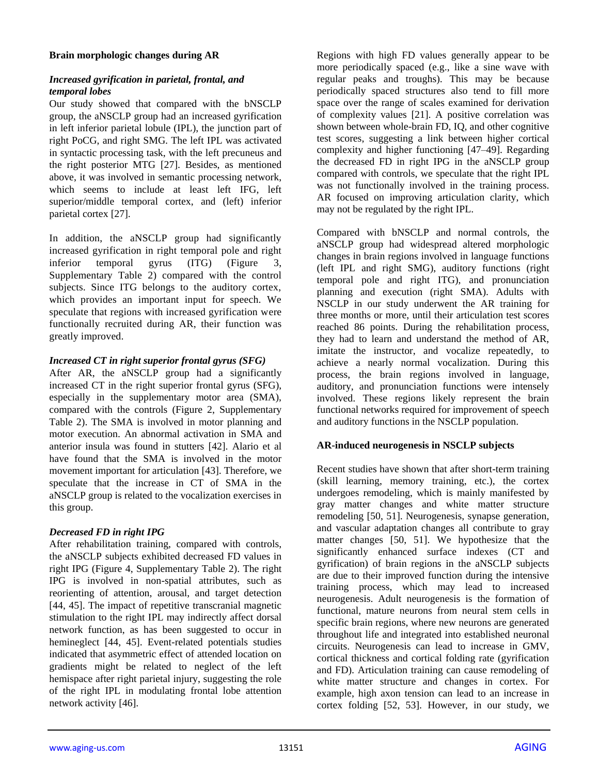#### **Brain morphologic changes during AR**

## *Increased gyrification in parietal, frontal, and temporal lobes*

Our study showed that compared with the bNSCLP group, the aNSCLP group had an increased gyrification in left inferior parietal lobule (IPL), the junction part of right PoCG, and right SMG. The left IPL was activated in syntactic processing task, with the left precuneus and the right posterior MTG [27]. Besides, as mentioned above, it was involved in semantic processing network, which seems to include at least left IFG, left superior/middle temporal cortex, and (left) inferior parietal cortex [27].

In addition, the aNSCLP group had significantly increased gyrification in right temporal pole and right inferior temporal gyrus (ITG) (Figure 3, Supplementary Table 2) compared with the control subjects. Since ITG belongs to the auditory cortex, which provides an important input for speech. We speculate that regions with increased gyrification were functionally recruited during AR, their function was greatly improved.

## *Increased CT in right superior frontal gyrus (SFG)*

After AR, the aNSCLP group had a significantly increased CT in the right superior frontal gyrus (SFG), especially in the supplementary motor area (SMA), compared with the controls (Figure 2, Supplementary Table 2). The SMA is involved in motor planning and motor execution. An abnormal activation in SMA and anterior insula was found in stutters [42]. Alario et al have found that the SMA is involved in the motor movement important for articulation [43]. Therefore, we speculate that the increase in CT of SMA in the aNSCLP group is related to the vocalization exercises in this group.

## *Decreased FD in right IPG*

After rehabilitation training, compared with controls, the aNSCLP subjects exhibited decreased FD values in right IPG (Figure 4, Supplementary Table 2). The right IPG is involved in non-spatial attributes, such as reorienting of attention, arousal, and target detection [44, 45]. The impact of repetitive transcranial magnetic stimulation to the right IPL may indirectly affect dorsal network function, as has been suggested to occur in hemineglect [44, 45]. Event-related potentials studies indicated that asymmetric effect of attended location on gradients might be related to neglect of the left hemispace after right parietal injury, suggesting the role of the right IPL in modulating frontal lobe attention network activity [46].

Regions with high FD values generally appear to be more periodically spaced (e.g., like a sine wave with regular peaks and troughs). This may be because periodically spaced structures also tend to fill more space over the range of scales examined for derivation of complexity values [21]. A positive correlation was shown between whole-brain FD, IQ, and other cognitive test scores, suggesting a link between higher cortical complexity and higher functioning [47–49]. Regarding the decreased FD in right IPG in the aNSCLP group compared with controls, we speculate that the right IPL was not functionally involved in the training process. AR focused on improving articulation clarity, which may not be regulated by the right IPL.

Compared with bNSCLP and normal controls, the aNSCLP group had widespread altered morphologic changes in brain regions involved in language functions (left IPL and right SMG), auditory functions (right temporal pole and right ITG), and pronunciation planning and execution (right SMA). Adults with NSCLP in our study underwent the AR training for three months or more, until their articulation test scores reached 86 points. During the rehabilitation process, they had to learn and understand the method of AR, imitate the instructor, and vocalize repeatedly, to achieve a nearly normal vocalization. During this process, the brain regions involved in language, auditory, and pronunciation functions were intensely involved. These regions likely represent the brain functional networks required for improvement of speech and auditory functions in the NSCLP population.

## **AR-induced neurogenesis in NSCLP subjects**

Recent studies have shown that after short-term training (skill learning, memory training, etc.), the cortex undergoes remodeling, which is mainly manifested by gray matter changes and white matter structure remodeling [50, 51]. Neurogenesis, synapse generation, and vascular adaptation changes all contribute to gray matter changes [50, 51]. We hypothesize that the significantly enhanced surface indexes (CT and gyrification) of brain regions in the aNSCLP subjects are due to their improved function during the intensive training process, which may lead to increased neurogenesis. Adult neurogenesis is the formation of functional, mature neurons from neural stem cells in specific brain regions, where new neurons are generated throughout life and integrated into established neuronal circuits. Neurogenesis can lead to increase in GMV, cortical thickness and cortical folding rate (gyrification and FD). Articulation training can cause remodeling of white matter structure and changes in cortex. For example, high axon tension can lead to an increase in cortex folding [52, 53]. However, in our study, we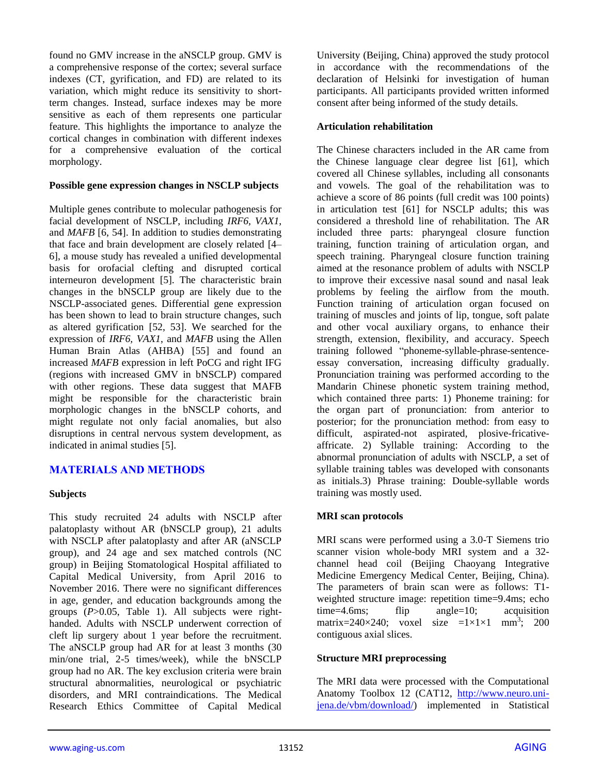found no GMV increase in the aNSCLP group. GMV is a comprehensive response of the cortex; several surface indexes (CT, gyrification, and FD) are related to its variation, which might reduce its sensitivity to shortterm changes. Instead, surface indexes may be more sensitive as each of them represents one particular feature. This highlights the importance to analyze the cortical changes in combination with different indexes for a comprehensive evaluation of the cortical morphology.

#### **Possible gene expression changes in NSCLP subjects**

Multiple genes contribute to molecular pathogenesis for facial development of NSCLP, including *IRF6, VAX1*, and *MAFB* [6, 54]. In addition to studies demonstrating that face and brain development are closely related [4– 6], a mouse study has revealed a unified developmental basis for orofacial clefting and disrupted cortical interneuron development [5]. The characteristic brain changes in the bNSCLP group are likely due to the NSCLP-associated genes. Differential gene expression has been shown to lead to brain structure changes, such as altered gyrification [52, 53]. We searched for the expression of *IRF6, VAX1*, and *MAFB* using the Allen Human Brain Atlas (AHBA) [55] and found an increased *MAFB* expression in left PoCG and right IFG (regions with increased GMV in bNSCLP) compared with other regions. These data suggest that MAFB might be responsible for the characteristic brain morphologic changes in the bNSCLP cohorts, and might regulate not only facial anomalies, but also disruptions in central nervous system development, as indicated in animal studies [5].

## **MATERIALS AND METHODS**

## **Subjects**

This study recruited 24 adults with NSCLP after palatoplasty without AR (bNSCLP group), 21 adults with NSCLP after palatoplasty and after AR (aNSCLP group), and 24 age and sex matched controls (NC group) in Beijing Stomatological Hospital affiliated to Capital Medical University, from April 2016 to November 2016. There were no significant differences in age, gender, and education backgrounds among the groups (*P*>0.05, Table 1). All subjects were righthanded. Adults with NSCLP underwent correction of cleft lip surgery about 1 year before the recruitment. The aNSCLP group had AR for at least 3 months (30 min/one trial, 2-5 times/week), while the bNSCLP group had no AR. The key exclusion criteria were brain structural abnormalities, neurological or psychiatric disorders, and MRI contraindications. The Medical Research Ethics Committee of Capital Medical University (Beijing, China) approved the study protocol in accordance with the recommendations of the declaration of Helsinki for investigation of human participants. All participants provided written informed consent after being informed of the study details.

## **Articulation rehabilitation**

The Chinese characters included in the AR came from the Chinese language clear degree list [61], which covered all Chinese syllables, including all consonants and vowels. The goal of the rehabilitation was to achieve a score of 86 points (full credit was 100 points) in articulation test [61] for NSCLP adults; this was considered a threshold line of rehabilitation. The AR included three parts: pharyngeal closure function training, function training of articulation organ, and speech training. Pharyngeal closure function training aimed at the resonance problem of adults with NSCLP to improve their excessive nasal sound and nasal leak problems by feeling the airflow from the mouth. Function training of articulation organ focused on training of muscles and joints of lip, tongue, soft palate and other vocal auxiliary organs, to enhance their strength, extension, flexibility, and accuracy. Speech training followed "phoneme-syllable-phrase-sentenceessay conversation, increasing difficulty gradually. Pronunciation training was performed according to the Mandarin Chinese phonetic system training method, which contained three parts: 1) Phoneme training: for the organ part of pronunciation: from anterior to posterior; for the pronunciation method: from easy to difficult, aspirated-not aspirated, plosive-fricativeaffricate. 2) Syllable training: According to the abnormal pronunciation of adults with NSCLP, a set of syllable training tables was developed with consonants as initials.3) Phrase training: Double-syllable words training was mostly used.

## **MRI scan protocols**

MRI scans were performed using a 3.0-T Siemens trio scanner vision whole-body MRI system and a 32 channel head coil (Beijing Chaoyang Integrative Medicine Emergency Medical Center, Beijing, China). The parameters of brain scan were as follows: T1 weighted structure image: repetition time=9.4ms; echo time=4.6ms; flip angle=10; acquisition matrix=240×240; voxel size = $1 \times 1 \times 1$  mm<sup>3</sup>; 200 contiguous axial slices.

## **Structure MRI preprocessing**

The MRI data were processed with the Computational Anatomy Toolbox 12 (CAT12, [http://www.neuro.uni](http://www.neuro.uni-jena.de/vbm/download/)[jena.de/vbm/download/\)](http://www.neuro.uni-jena.de/vbm/download/) implemented in Statistical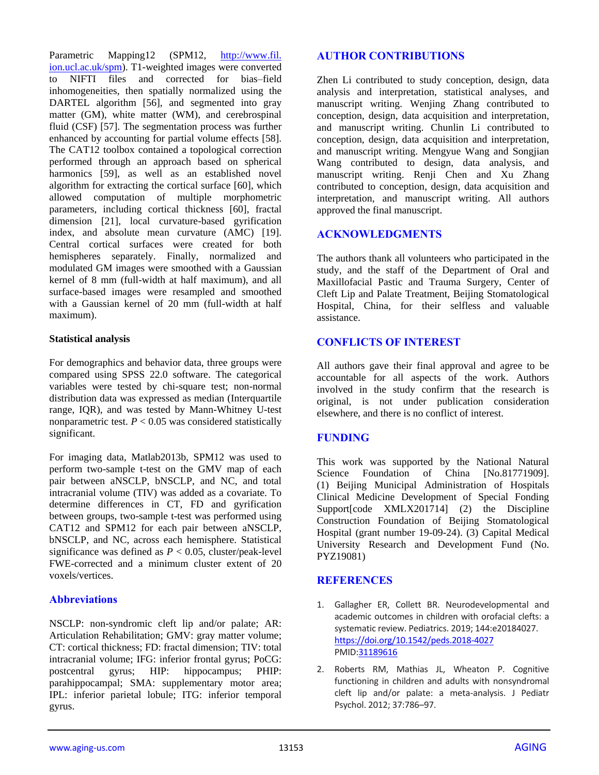Parametric Mapping12 (SPM12, [http://www.fil.](http://www.fil.ion.ucl.ac.uk/spm) [ion.ucl.ac.uk/spm\)](http://www.fil.ion.ucl.ac.uk/spm). T1-weighted images were converted to NIFTI files and corrected for bias–field inhomogeneities, then spatially normalized using the DARTEL algorithm [56], and segmented into gray matter (GM), white matter (WM), and cerebrospinal fluid (CSF) [57]. The segmentation process was further enhanced by accounting for partial volume effects [58]. The CAT12 toolbox contained a topological correction performed through an approach based on spherical harmonics [59], as well as an established novel algorithm for extracting the cortical surface [60], which allowed computation of multiple morphometric parameters, including cortical thickness [60], fractal dimension [21], local curvature-based gyrification index, and absolute mean curvature (AMC) [19]. Central cortical surfaces were created for both hemispheres separately. Finally, normalized and modulated GM images were smoothed with a Gaussian kernel of 8 mm (full-width at half maximum), and all surface-based images were resampled and smoothed with a Gaussian kernel of 20 mm (full-width at half maximum).

## **Statistical analysis**

For demographics and behavior data, three groups were compared using SPSS 22.0 software. The categorical variables were tested by chi-square test; non-normal distribution data was expressed as median (Interquartile range, IQR), and was tested by Mann-Whitney U-test nonparametric test.  $P < 0.05$  was considered statistically significant.

For imaging data, Matlab2013b, SPM12 was used to perform two-sample t-test on the GMV map of each pair between aNSCLP, bNSCLP, and NC, and total intracranial volume (TIV) was added as a covariate. To determine differences in CT, FD and gyrification between groups, two-sample t-test was performed using CAT12 and SPM12 for each pair between aNSCLP, bNSCLP, and NC, across each hemisphere. Statistical significance was defined as  $P < 0.05$ , cluster/peak-level FWE-corrected and a minimum cluster extent of 20 voxels/vertices.

## **Abbreviations**

NSCLP: non-syndromic cleft lip and/or palate; AR: Articulation Rehabilitation; GMV: gray matter volume; CT: cortical thickness; FD: fractal dimension; TIV: total intracranial volume; IFG: inferior frontal gyrus; PoCG: postcentral gyrus; HIP: hippocampus; PHIP: parahippocampal; SMA: supplementary motor area; IPL: inferior parietal lobule; ITG: inferior temporal gyrus.

# **AUTHOR CONTRIBUTIONS**

Zhen Li contributed to study conception, design, data analysis and interpretation, statistical analyses, and manuscript writing. Wenjing Zhang contributed to conception, design, data acquisition and interpretation, and manuscript writing. Chunlin Li contributed to conception, design, data acquisition and interpretation, and manuscript writing. Mengyue Wang and Songjian Wang contributed to design, data analysis, and manuscript writing. Renji Chen and Xu Zhang contributed to conception, design, data acquisition and interpretation, and manuscript writing. All authors approved the final manuscript.

# **ACKNOWLEDGMENTS**

The authors thank all volunteers who participated in the study, and the staff of the Department of Oral and Maxillofacial Pastic and Trauma Surgery, Center of Cleft Lip and Palate Treatment, Beijing Stomatological Hospital, China, for their selfless and valuable assistance.

## **CONFLICTS OF INTEREST**

All authors gave their final approval and agree to be accountable for all aspects of the work. Authors involved in the study confirm that the research is original, is not under publication consideration elsewhere, and there is no conflict of interest.

## **FUNDING**

This work was supported by the National Natural Science Foundation of China [No.81771909]. (1) Beijing Municipal Administration of Hospitals Clinical Medicine Development of Special Fonding Support[code XMLX201714] (2) the Discipline Construction Foundation of Beijing Stomatological Hospital (grant number 19-09-24). (3) Capital Medical University Research and Development Fund (No. PYZ19081)

## **REFERENCES**

- 1. Gallagher ER, Collett BR. Neurodevelopmental and academic outcomes in children with orofacial clefts: a systematic review. Pediatrics. 2019; 144:e20184027. <https://doi.org/10.1542/peds.2018-4027> PMI[D:31189616](https://pubmed.ncbi.nlm.nih.gov/31189616)
- 2. Roberts RM, Mathias JL, Wheaton P. Cognitive functioning in children and adults with nonsyndromal cleft lip and/or palate: a meta-analysis. J Pediatr Psychol. 2012; 37:786–97.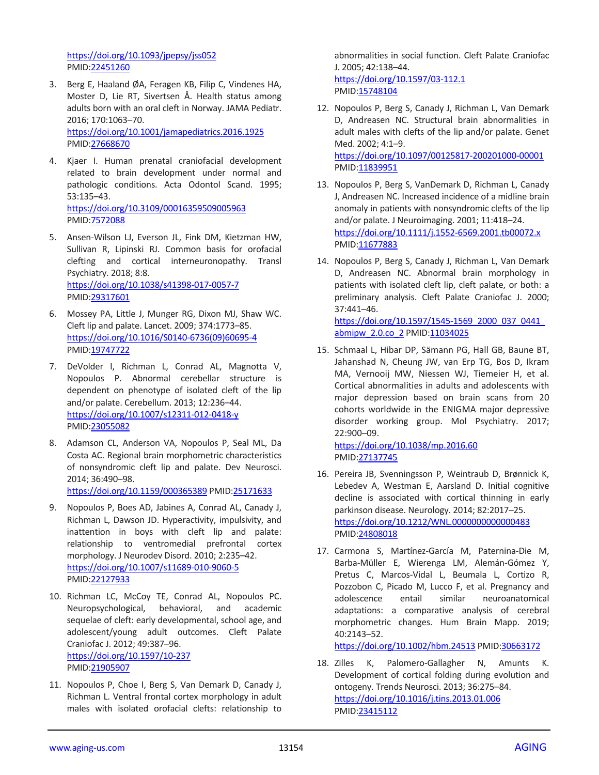<https://doi.org/10.1093/jpepsy/jss052> PMID[:22451260](https://pubmed.ncbi.nlm.nih.gov/22451260)

- 3. Berg E, Haaland ØA, Feragen KB, Filip C, Vindenes HA, Moster D, Lie RT, Sivertsen Å. Health status among adults born with an oral cleft in Norway. JAMA Pediatr. 2016; 170:1063–70. <https://doi.org/10.1001/jamapediatrics.2016.1925> PMID[:27668670](https://pubmed.ncbi.nlm.nih.gov/27668670)
- 4. Kjaer I. Human prenatal craniofacial development related to brain development under normal and pathologic conditions. Acta Odontol Scand. 1995; 53:135–43. <https://doi.org/10.3109/00016359509005963> PMID[:7572088](https://pubmed.ncbi.nlm.nih.gov/7572088)
- 5. Ansen-Wilson LJ, Everson JL, Fink DM, Kietzman HW, Sullivan R, Lipinski RJ. Common basis for orofacial clefting and cortical interneuronopathy. Transl Psychiatry. 2018; 8:8. <https://doi.org/10.1038/s41398-017-0057-7> PMID[:29317601](https://pubmed.ncbi.nlm.nih.gov/29317601)
- 6. Mossey PA, Little J, Munger RG, Dixon MJ, Shaw WC. Cleft lip and palate. Lancet. 2009; 374:1773–85. [https://doi.org/10.1016/S0140-6736\(09\)60695-4](https://doi.org/10.1016/S0140-6736(09)60695-4) PMID[:19747722](https://pubmed.ncbi.nlm.nih.gov/19747722)
- 7. DeVolder I, Richman L, Conrad AL, Magnotta V, Nopoulos P. Abnormal cerebellar structure is dependent on phenotype of isolated cleft of the lip and/or palate. Cerebellum. 2013; 12:236–44. <https://doi.org/10.1007/s12311-012-0418-y> PMID[:23055082](https://pubmed.ncbi.nlm.nih.gov/23055082)
- 8. Adamson CL, Anderson VA, Nopoulos P, Seal ML, Da Costa AC. Regional brain morphometric characteristics of nonsyndromic cleft lip and palate. Dev Neurosci. 2014; 36:490–98. <https://doi.org/10.1159/000365389> PMID[:25171633](https://pubmed.ncbi.nlm.nih.gov/25171633)
- 9. Nopoulos P, Boes AD, Jabines A, Conrad AL, Canady J, Richman L, Dawson JD. Hyperactivity, impulsivity, and inattention in boys with cleft lip and palate: relationship to ventromedial prefrontal cortex morphology. J Neurodev Disord. 2010; 2:235–42. <https://doi.org/10.1007/s11689-010-9060-5> PMID[:22127933](https://pubmed.ncbi.nlm.nih.gov/22127933)
- 10. Richman LC, McCoy TE, Conrad AL, Nopoulos PC. Neuropsychological, behavioral, and academic sequelae of cleft: early developmental, school age, and adolescent/young adult outcomes. Cleft Palate Craniofac J. 2012; 49:387–96. <https://doi.org/10.1597/10-237> PMID[:21905907](https://pubmed.ncbi.nlm.nih.gov/21905907)
- 11. Nopoulos P, Choe I, Berg S, Van Demark D, Canady J, Richman L. Ventral frontal cortex morphology in adult males with isolated orofacial clefts: relationship to

abnormalities in social function. Cleft Palate Craniofac J. 2005; 42:138–44. <https://doi.org/10.1597/03-112.1> PMI[D:15748104](https://pubmed.ncbi.nlm.nih.gov/15748104)

12. Nopoulos P, Berg S, Canady J, Richman L, Van Demark D, Andreasen NC. Structural brain abnormalities in adult males with clefts of the lip and/or palate. Genet Med. 2002; 4:1–9. <https://doi.org/10.1097/00125817-200201000-00001> PMI[D:11839951](https://pubmed.ncbi.nlm.nih.gov/11839951)

- 13. Nopoulos P, Berg S, VanDemark D, Richman L, Canady J, Andreasen NC. Increased incidence of a midline brain anomaly in patients with nonsyndromic clefts of the lip and/or palate. J Neuroimaging. 2001; 11:418–24. <https://doi.org/10.1111/j.1552-6569.2001.tb00072.x> PMI[D:11677883](https://pubmed.ncbi.nlm.nih.gov/11677883)
- 14. Nopoulos P, Berg S, Canady J, Richman L, Van Demark D, Andreasen NC. Abnormal brain morphology in patients with isolated cleft lip, cleft palate, or both: a preliminary analysis. Cleft Palate Craniofac J. 2000; 37:441–46.

[https://doi.org/10.1597/1545-1569\\_2000\\_037\\_0441\\_](https://doi.org/10.1597/1545-1569_2000_037_0441_abmipw_2.0.co_2) [abmipw\\_2.0.co\\_2](https://doi.org/10.1597/1545-1569_2000_037_0441_abmipw_2.0.co_2) PMI[D:11034025](https://pubmed.ncbi.nlm.nih.gov/11034025)

15. Schmaal L, Hibar DP, Sämann PG, Hall GB, Baune BT, Jahanshad N, Cheung JW, van Erp TG, Bos D, Ikram MA, Vernooij MW, Niessen WJ, Tiemeier H, et al. Cortical abnormalities in adults and adolescents with major depression based on brain scans from 20 cohorts worldwide in the ENIGMA major depressive disorder working group. Mol Psychiatry. 2017; 22:900–09.

<https://doi.org/10.1038/mp.2016.60> PMI[D:27137745](https://pubmed.ncbi.nlm.nih.gov/27137745)

- 16. Pereira JB, Svenningsson P, Weintraub D, Brønnick K, Lebedev A, Westman E, Aarsland D. Initial cognitive decline is associated with cortical thinning in early parkinson disease. Neurology. 2014; 82:2017–25. <https://doi.org/10.1212/WNL.0000000000000483> PMI[D:24808018](https://pubmed.ncbi.nlm.nih.gov/24808018)
- 17. Carmona S, Martínez-García M, Paternina-Die M, Barba-Müller E, Wierenga LM, Alemán-Gómez Y, Pretus C, Marcos-Vidal L, Beumala L, Cortizo R, Pozzobon C, Picado M, Lucco F, et al. Pregnancy and adolescence entail similar neuroanatomical adaptations: a comparative analysis of cerebral morphometric changes. Hum Brain Mapp. 2019; 40:2143–52.

<https://doi.org/10.1002/hbm.24513> PMID[:30663172](https://pubmed.ncbi.nlm.nih.gov/30663172)

18. Zilles K, Palomero-Gallagher N, Amunts K. Development of cortical folding during evolution and ontogeny. Trends Neurosci. 2013; 36:275–84. <https://doi.org/10.1016/j.tins.2013.01.006> PMI[D:23415112](https://pubmed.ncbi.nlm.nih.gov/23415112)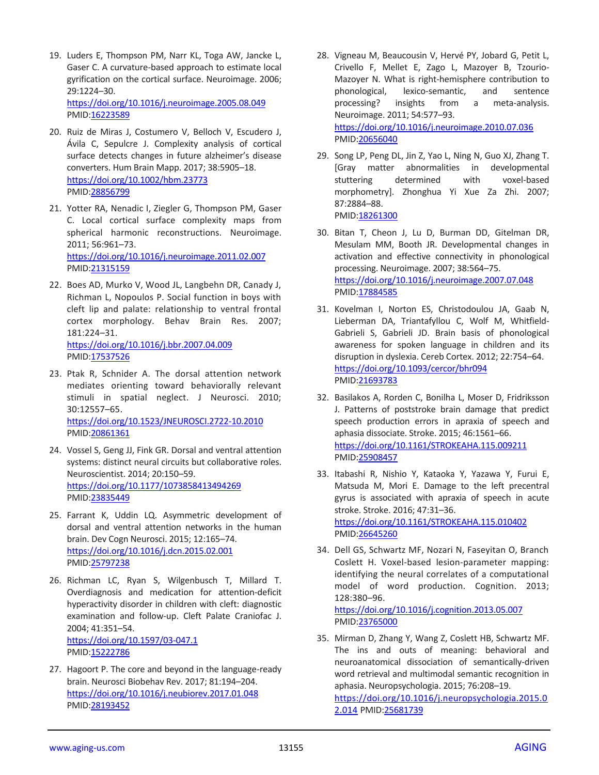- 19. Luders E, Thompson PM, Narr KL, Toga AW, Jancke L, Gaser C. A curvature-based approach to estimate local gyrification on the cortical surface. Neuroimage. 2006; 29:1224–30. <https://doi.org/10.1016/j.neuroimage.2005.08.049> PMID[:16223589](https://pubmed.ncbi.nlm.nih.gov/16223589)
- 20. Ruiz de Miras J, Costumero V, Belloch V, Escudero J, Ávila C, Sepulcre J. Complexity analysis of cortical surface detects changes in future alzheimer's disease converters. Hum Brain Mapp. 2017; 38:5905–18. <https://doi.org/10.1002/hbm.23773> PMID[:28856799](https://pubmed.ncbi.nlm.nih.gov/28856799)
- 21. Yotter RA, Nenadic I, Ziegler G, Thompson PM, Gaser C. Local cortical surface complexity maps from spherical harmonic reconstructions. Neuroimage. 2011; 56:961–73. <https://doi.org/10.1016/j.neuroimage.2011.02.007> PMID[:21315159](https://pubmed.ncbi.nlm.nih.gov/21315159)
- 22. Boes AD, Murko V, Wood JL, Langbehn DR, Canady J, Richman L, Nopoulos P. Social function in boys with cleft lip and palate: relationship to ventral frontal cortex morphology. Behav Brain Res. 2007; 181:224–31. <https://doi.org/10.1016/j.bbr.2007.04.009> PMID[:17537526](https://pubmed.ncbi.nlm.nih.gov/17537526)
- 23. Ptak R, Schnider A. The dorsal attention network mediates orienting toward behaviorally relevant stimuli in spatial neglect. J Neurosci. 2010; 30:12557–65. <https://doi.org/10.1523/JNEUROSCI.2722-10.2010> PMID[:20861361](https://pubmed.ncbi.nlm.nih.gov/20861361)
- 24. Vossel S, Geng JJ, Fink GR. Dorsal and ventral attention systems: distinct neural circuits but collaborative roles. Neuroscientist. 2014; 20:150–59. <https://doi.org/10.1177/1073858413494269> PMID[:23835449](https://pubmed.ncbi.nlm.nih.gov/23835449)
- 25. Farrant K, Uddin LQ. Asymmetric development of dorsal and ventral attention networks in the human brain. Dev Cogn Neurosci. 2015; 12:165–74. <https://doi.org/10.1016/j.dcn.2015.02.001> PMID[:25797238](https://pubmed.ncbi.nlm.nih.gov/25797238)
- 26. Richman LC, Ryan S, Wilgenbusch T, Millard T. Overdiagnosis and medication for attention-deficit hyperactivity disorder in children with cleft: diagnostic examination and follow-up. Cleft Palate Craniofac J. 2004; 41:351–54. <https://doi.org/10.1597/03-047.1>

PMID[:15222786](https://pubmed.ncbi.nlm.nih.gov/15222786)

27. Hagoort P. The core and beyond in the language-ready brain. Neurosci Biobehav Rev. 2017; 81:194–204. <https://doi.org/10.1016/j.neubiorev.2017.01.048> PMID[:28193452](https://pubmed.ncbi.nlm.nih.gov/28193452)

- 28. Vigneau M, Beaucousin V, Hervé PY, Jobard G, Petit L, Crivello F, Mellet E, Zago L, Mazoyer B, Tzourio-Mazoyer N. What is right-hemisphere contribution to phonological, lexico-semantic, and sentence processing? insights from a meta-analysis. Neuroimage. 2011; 54:577–93. <https://doi.org/10.1016/j.neuroimage.2010.07.036> PMI[D:20656040](https://pubmed.ncbi.nlm.nih.gov/20656040)
- 29. Song LP, Peng DL, Jin Z, Yao L, Ning N, Guo XJ, Zhang T. [Gray matter abnormalities in developmental stuttering determined with voxel-based morphometry]. Zhonghua Yi Xue Za Zhi. 2007; 87:2884–88. PMID: 18261300
- 30. Bitan T, Cheon J, Lu D, Burman DD, Gitelman DR, Mesulam MM, Booth JR. Developmental changes in activation and effective connectivity in phonological processing. Neuroimage. 2007; 38:564–75. <https://doi.org/10.1016/j.neuroimage.2007.07.048> PMI[D:17884585](https://pubmed.ncbi.nlm.nih.gov/17884585)
- 31. Kovelman I, Norton ES, Christodoulou JA, Gaab N, Lieberman DA, Triantafyllou C, Wolf M, Whitfield-Gabrieli S, Gabrieli JD. Brain basis of phonological awareness for spoken language in children and its disruption in dyslexia. Cereb Cortex. 2012; 22:754–64. <https://doi.org/10.1093/cercor/bhr094> PMI[D:21693783](https://pubmed.ncbi.nlm.nih.gov/21693783)
- 32. Basilakos A, Rorden C, Bonilha L, Moser D, Fridriksson J. Patterns of poststroke brain damage that predict speech production errors in apraxia of speech and aphasia dissociate. Stroke. 2015; 46:1561–66. <https://doi.org/10.1161/STROKEAHA.115.009211> PMI[D:25908457](https://pubmed.ncbi.nlm.nih.gov/25908457)
- 33. Itabashi R, Nishio Y, Kataoka Y, Yazawa Y, Furui E, Matsuda M, Mori E. Damage to the left precentral gyrus is associated with apraxia of speech in acute stroke. Stroke. 2016; 47:31–36. <https://doi.org/10.1161/STROKEAHA.115.010402> PMI[D:26645260](https://pubmed.ncbi.nlm.nih.gov/26645260)
- 34. Dell GS, Schwartz MF, Nozari N, Faseyitan O, Branch Coslett H. Voxel-based lesion-parameter mapping: identifying the neural correlates of a computational model of word production. Cognition. 2013; 128:380–96.

<https://doi.org/10.1016/j.cognition.2013.05.007> PMI[D:23765000](https://pubmed.ncbi.nlm.nih.gov/23765000)

35. Mirman D, Zhang Y, Wang Z, Coslett HB, Schwartz MF. The ins and outs of meaning: behavioral and neuroanatomical dissociation of semantically-driven word retrieval and multimodal semantic recognition in aphasia. Neuropsychologia. 2015; 76:208–19. [https://doi.org/10.1016/j.neuropsychologia.2015.0](https://doi.org/10.1016/j.neuropsychologia.2015.02.014) [2.014](https://doi.org/10.1016/j.neuropsychologia.2015.02.014) PMID[:25681739](https://pubmed.ncbi.nlm.nih.gov/25681739)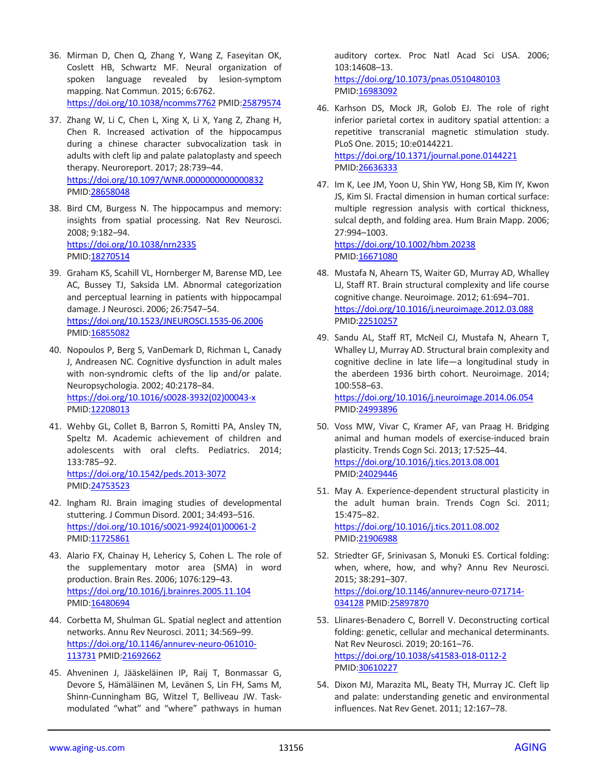- 36. Mirman D, Chen Q, Zhang Y, Wang Z, Faseyitan OK, Coslett HB, Schwartz MF. Neural organization of spoken language revealed by lesion-symptom mapping. Nat Commun. 2015; 6:6762. <https://doi.org/10.1038/ncomms7762> PMI[D:25879574](https://pubmed.ncbi.nlm.nih.gov/25879574)
- 37. Zhang W, Li C, Chen L, Xing X, Li X, Yang Z, Zhang H, Chen R. Increased activation of the hippocampus during a chinese character subvocalization task in adults with cleft lip and palate palatoplasty and speech therapy. Neuroreport. 2017; 28:739–44. <https://doi.org/10.1097/WNR.0000000000000832> PMID[:28658048](https://pubmed.ncbi.nlm.nih.gov/28658048)
- 38. Bird CM, Burgess N. The hippocampus and memory: insights from spatial processing. Nat Rev Neurosci. 2008; 9:182–94. <https://doi.org/10.1038/nrn2335> PMID[:18270514](https://pubmed.ncbi.nlm.nih.gov/18270514)
- 39. Graham KS, Scahill VL, Hornberger M, Barense MD, Lee AC, Bussey TJ, Saksida LM. Abnormal categorization and perceptual learning in patients with hippocampal damage. J Neurosci. 2006; 26:7547–54. <https://doi.org/10.1523/JNEUROSCI.1535-06.2006> PMID[:16855082](https://pubmed.ncbi.nlm.nih.gov/16855082)
- 40. Nopoulos P, Berg S, VanDemark D, Richman L, Canady J, Andreasen NC. Cognitive dysfunction in adult males with non-syndromic clefts of the lip and/or palate. Neuropsychologia. 2002; 40:2178–84. [https://doi.org/10.1016/s0028-3932\(02\)00043-x](https://doi.org/10.1016/s0028-3932(02)00043-x) PMID[:12208013](https://pubmed.ncbi.nlm.nih.gov/12208013)
- 41. Wehby GL, Collet B, Barron S, Romitti PA, Ansley TN, Speltz M. Academic achievement of children and adolescents with oral clefts. Pediatrics. 2014; 133:785–92. <https://doi.org/10.1542/peds.2013-3072> PMID[:24753523](https://pubmed.ncbi.nlm.nih.gov/24753523)
- 42. Ingham RJ. Brain imaging studies of developmental stuttering. J Commun Disord. 2001; 34:493–516. [https://doi.org/10.1016/s0021-9924\(01\)00061-2](https://doi.org/10.1016/s0021-9924(01)00061-2) PMID[:11725861](https://pubmed.ncbi.nlm.nih.gov/11725861)
- 43. Alario FX, Chainay H, Lehericy S, Cohen L. The role of the supplementary motor area (SMA) in word production. Brain Res. 2006; 1076:129–43. <https://doi.org/10.1016/j.brainres.2005.11.104> PMID[:16480694](https://pubmed.ncbi.nlm.nih.gov/16480694)
- 44. Corbetta M, Shulman GL. Spatial neglect and attention networks. Annu Rev Neurosci. 2011; 34:569–99. [https://doi.org/10.1146/annurev-neuro-061010-](https://doi.org/10.1146/annurev-neuro-061010-113731) [113731](https://doi.org/10.1146/annurev-neuro-061010-113731) PMID[:21692662](https://pubmed.ncbi.nlm.nih.gov/21692662)
- 45. Ahveninen J, Jääskeläinen IP, Raij T, Bonmassar G, Devore S, Hämäläinen M, Levänen S, Lin FH, Sams M, Shinn-Cunningham BG, Witzel T, Belliveau JW. Taskmodulated "what" and "where" pathways in human

auditory cortex. Proc Natl Acad Sci USA. 2006; 103:14608–13. <https://doi.org/10.1073/pnas.0510480103>

PMI[D:16983092](https://pubmed.ncbi.nlm.nih.gov/16983092)

- 46. Karhson DS, Mock JR, Golob EJ. The role of right inferior parietal cortex in auditory spatial attention: a repetitive transcranial magnetic stimulation study. PLoS One. 2015; 10:e0144221. <https://doi.org/10.1371/journal.pone.0144221> PMI[D:26636333](https://pubmed.ncbi.nlm.nih.gov/26636333)
- 47. Im K, Lee JM, Yoon U, Shin YW, Hong SB, Kim IY, Kwon JS, Kim SI. Fractal dimension in human cortical surface: multiple regression analysis with cortical thickness, sulcal depth, and folding area. Hum Brain Mapp. 2006; 27:994–1003. <https://doi.org/10.1002/hbm.20238> PMI[D:16671080](https://pubmed.ncbi.nlm.nih.gov/16671080)

48. Mustafa N, Ahearn TS, Waiter GD, Murray AD, Whalley LJ, Staff RT. Brain structural complexity and life course cognitive change. Neuroimage. 2012; 61:694–701. <https://doi.org/10.1016/j.neuroimage.2012.03.088> PMI[D:22510257](https://pubmed.ncbi.nlm.nih.gov/22510257)

- 49. Sandu AL, Staff RT, McNeil CJ, Mustafa N, Ahearn T, Whalley LJ, Murray AD. Structural brain complexity and cognitive decline in late life—a longitudinal study in the aberdeen 1936 birth cohort. Neuroimage. 2014; 100:558–63. <https://doi.org/10.1016/j.neuroimage.2014.06.054> PMI[D:24993896](https://pubmed.ncbi.nlm.nih.gov/24993896)
- 50. Voss MW, Vivar C, Kramer AF, van Praag H. Bridging animal and human models of exercise-induced brain plasticity. Trends Cogn Sci. 2013; 17:525–44. <https://doi.org/10.1016/j.tics.2013.08.001> PMI[D:24029446](https://pubmed.ncbi.nlm.nih.gov/24029446)
- 51. May A. Experience-dependent structural plasticity in the adult human brain. Trends Cogn Sci. 2011; 15:475–82. <https://doi.org/10.1016/j.tics.2011.08.002> PMI[D:21906988](https://pubmed.ncbi.nlm.nih.gov/21906988)
- 52. Striedter GF, Srinivasan S, Monuki ES. Cortical folding: when, where, how, and why? Annu Rev Neurosci. 2015; 38:291–307. [https://doi.org/10.1146/annurev-neuro-071714-](https://doi.org/10.1146/annurev-neuro-071714-034128) [034128](https://doi.org/10.1146/annurev-neuro-071714-034128) PMI[D:25897870](https://pubmed.ncbi.nlm.nih.gov/25897870)
- 53. Llinares-Benadero C, Borrell V. Deconstructing cortical folding: genetic, cellular and mechanical determinants. Nat Rev Neurosci. 2019; 20:161–76. <https://doi.org/10.1038/s41583-018-0112-2> PMI[D:30610227](https://pubmed.ncbi.nlm.nih.gov/30610227)
- 54. Dixon MJ, Marazita ML, Beaty TH, Murray JC. Cleft lip and palate: understanding genetic and environmental influences. Nat Rev Genet. 2011; 12:167–78.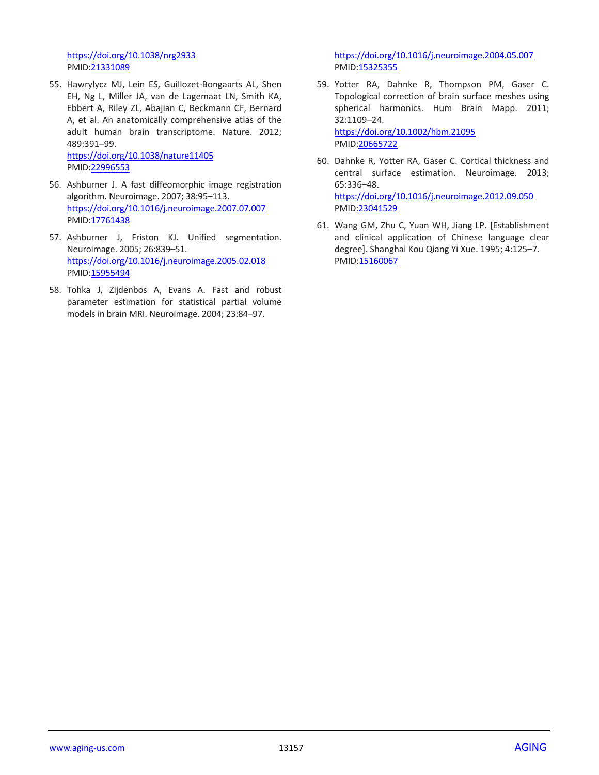<https://doi.org/10.1038/nrg2933> PMID[:21331089](https://pubmed.ncbi.nlm.nih.gov/21331089)

55. Hawrylycz MJ, Lein ES, Guillozet-Bongaarts AL, Shen EH, Ng L, Miller JA, van de Lagemaat LN, Smith KA, Ebbert A, Riley ZL, Abajian C, Beckmann CF, Bernard A, et al. An anatomically comprehensive atlas of the adult human brain transcriptome. Nature. 2012; 489:391–99.

<https://doi.org/10.1038/nature11405> PMID[:22996553](https://pubmed.ncbi.nlm.nih.gov/22996553)

- 56. Ashburner J. A fast diffeomorphic image registration algorithm. Neuroimage. 2007; 38:95–113. <https://doi.org/10.1016/j.neuroimage.2007.07.007> PMID: 17761438
- 57. Ashburner J, Friston KJ. Unified segmentation. Neuroimage. 2005; 26:839–51. <https://doi.org/10.1016/j.neuroimage.2005.02.018> PMID[:15955494](https://pubmed.ncbi.nlm.nih.gov/15955494)
- 58. Tohka J, Zijdenbos A, Evans A. Fast and robust parameter estimation for statistical partial volume models in brain MRI. Neuroimage. 2004; 23:84–97.

<https://doi.org/10.1016/j.neuroimage.2004.05.007> PMID: 15325355

- 59. Yotter RA, Dahnke R, Thompson PM, Gaser C. Topological correction of brain surface meshes using spherical harmonics. Hum Brain Mapp. 2011; 32:1109–24. <https://doi.org/10.1002/hbm.21095> PMI[D:20665722](https://pubmed.ncbi.nlm.nih.gov/20665722)
- 60. Dahnke R, Yotter RA, Gaser C. Cortical thickness and central surface estimation. Neuroimage. 2013; 65:336–48. <https://doi.org/10.1016/j.neuroimage.2012.09.050> PMI[D:23041529](https://pubmed.ncbi.nlm.nih.gov/23041529)
- 61. Wang GM, Zhu C, Yuan WH, Jiang LP. [Establishment and clinical application of Chinese language clear degree]. Shanghai Kou Qiang Yi Xue. 1995; 4:125–7. PMID[:15160067](https://pubmed.ncbi.nlm.nih.gov/15160067/)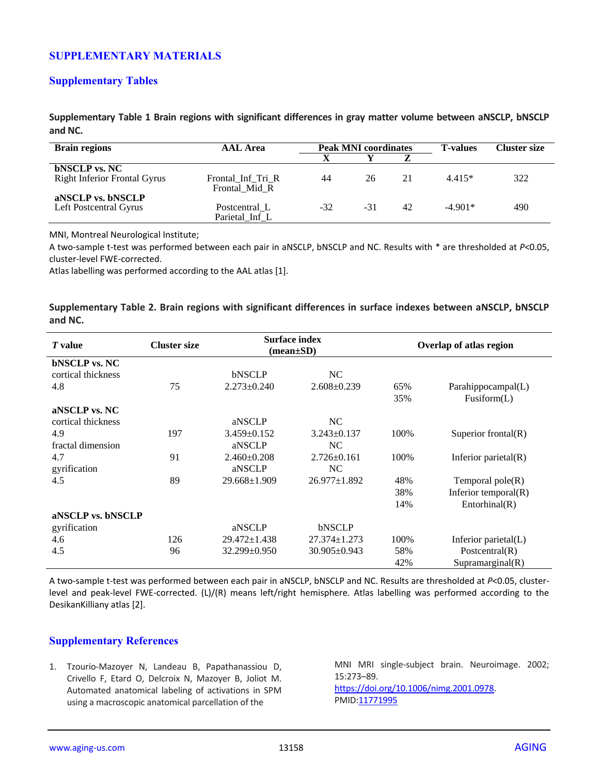# **SUPPLEMENTARY MATERIALS**

## **Supplementary Tables**

**Supplementary Table 1 Brain regions with significant differences in gray matter volume between aNSCLP, bNSCLP and NC.**

| <b>Brain regions</b>                | <b>AAL</b> Area                    | <b>Peak MNI coordinates</b> |       | <b>T-values</b> | Cluster size |     |
|-------------------------------------|------------------------------------|-----------------------------|-------|-----------------|--------------|-----|
|                                     |                                    |                             |       |                 |              |     |
| <b>bNSCLP</b> vs. NC                |                                    |                             |       |                 |              |     |
| <b>Right Inferior Frontal Gyrus</b> | Frontal Inf Tri R<br>Frontal Mid R | 44                          | 26    | 21              | $4.415*$     | 322 |
| aNSCLP vs. bNSCLP                   |                                    |                             |       |                 |              |     |
| Left Postcentral Gyrus              | Postcentral L                      | -32                         | $-31$ | 42              | $-4.901*$    | 490 |
|                                     | Parietal_Inf_L                     |                             |       |                 |              |     |

MNI, Montreal Neurological Institute;

A two-sample t-test was performed between each pair in aNSCLP, bNSCLP and NC. Results with \* are thresholded at *P*<0.05, cluster-level FWE-corrected.

Atlas labelling was performed according to the AAL atlas [1].

**Supplementary Table 2. Brain regions with significant differences in surface indexes between aNSCLP, bNSCLP and NC.**

| <i>T</i> value       | <b>Cluster size</b> | <b>Surface index</b><br>$(\text{mean}\pm S\textbf{D})$ |                    | Overlap of atlas region |                         |  |
|----------------------|---------------------|--------------------------------------------------------|--------------------|-------------------------|-------------------------|--|
| <b>bNSCLP</b> vs. NC |                     |                                                        |                    |                         |                         |  |
| cortical thickness   |                     | bNSCLP                                                 | NC                 |                         |                         |  |
| 4.8                  | 75                  | $2.273 \pm 0.240$                                      | $2.608 \pm 0.239$  | 65%                     | Parahippocampal(L)      |  |
|                      |                     |                                                        |                    | 35%                     | Fusiform(L)             |  |
| aNSCLP vs. NC        |                     |                                                        |                    |                         |                         |  |
| cortical thickness   |                     | aNSCLP                                                 | NC.                |                         |                         |  |
| 4.9                  | 197                 | $3.459 \pm 0.152$                                      | $3.243 \pm 0.137$  | 100%                    | Superior frontal(R)     |  |
| fractal dimension    |                     | aNSCLP                                                 | NC                 |                         |                         |  |
| 4.7                  | 91                  | $2.460 \pm 0.208$                                      | $2.726 \pm 0.161$  | 100%                    | Inferior parietal $(R)$ |  |
| gyrification         |                     | aNSCLP                                                 | NC                 |                         |                         |  |
| 4.5                  | 89                  | $29.668 \pm 1.909$                                     | $26.977 \pm 1.892$ | 48%                     | Temporal $pole(R)$      |  |
|                      |                     |                                                        |                    | 38%                     | Inferior temporal $(R)$ |  |
|                      |                     |                                                        |                    | 14%                     | Entorhinal(R)           |  |
| aNSCLP vs. bNSCLP    |                     |                                                        |                    |                         |                         |  |
| gyrification         |                     | aNSCLP                                                 | bNSCLP             |                         |                         |  |
| 4.6                  | 126                 | $29.472 \pm 1.438$                                     | $27.374 \pm 1.273$ | 100%                    | Inferior parietal(L)    |  |
| 4.5                  | 96                  | $32.299 \pm 0.950$                                     | $30.905 \pm 0.943$ | 58%                     | Postcentral $(R)$       |  |
|                      |                     |                                                        |                    | 42%                     | Supramarginal(R)        |  |

A two-sample t-test was performed between each pair in aNSCLP, bNSCLP and NC. Results are thresholded at *P*<0.05, clusterlevel and peak-level FWE-corrected. (L)/(R) means left/right hemisphere. Atlas labelling was performed according to the DesikanKilliany atlas [2].

## **Supplementary References**

1. Tzourio-Mazoyer N, Landeau B, Papathanassiou D, Crivello F, Etard O, Delcroix N, Mazoyer B, Joliot M. Automated anatomical labeling of activations in SPM using a macroscopic anatomical parcellation of the

MNI MRI single-subject brain. Neuroimage. 2002; 15:273–89. [https://doi.org/10.1006/nimg.2001.0978.](https://doi.org/10.1006/nimg.2001.0978) PMI[D:11771995](https://pubmed.ncbi.nlm.nih.gov/11771995)